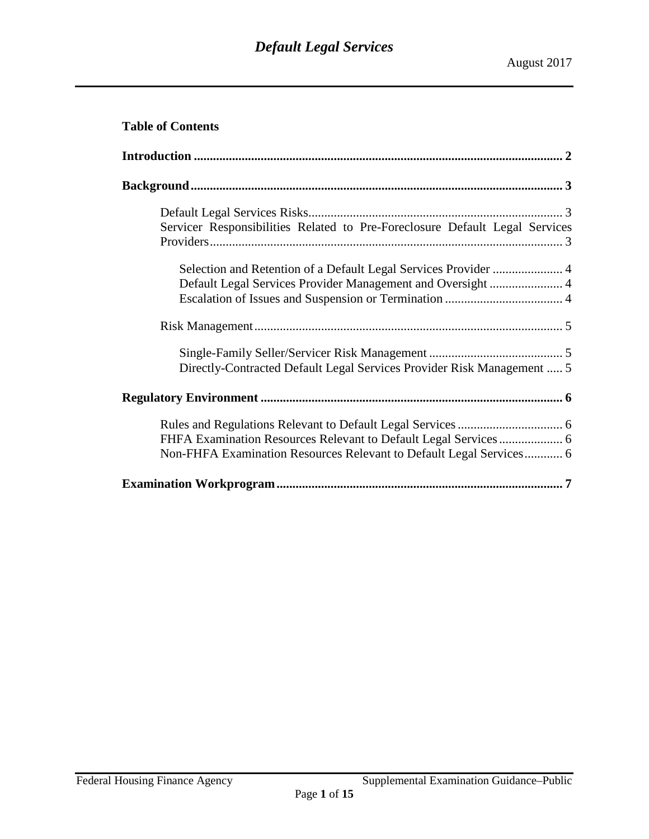# **Table of Contents**

| Servicer Responsibilities Related to Pre-Foreclosure Default Legal Services |
|-----------------------------------------------------------------------------|
| Default Legal Services Provider Management and Oversight  4                 |
|                                                                             |
| Directly-Contracted Default Legal Services Provider Risk Management  5      |
|                                                                             |
| Non-FHFA Examination Resources Relevant to Default Legal Services 6         |
|                                                                             |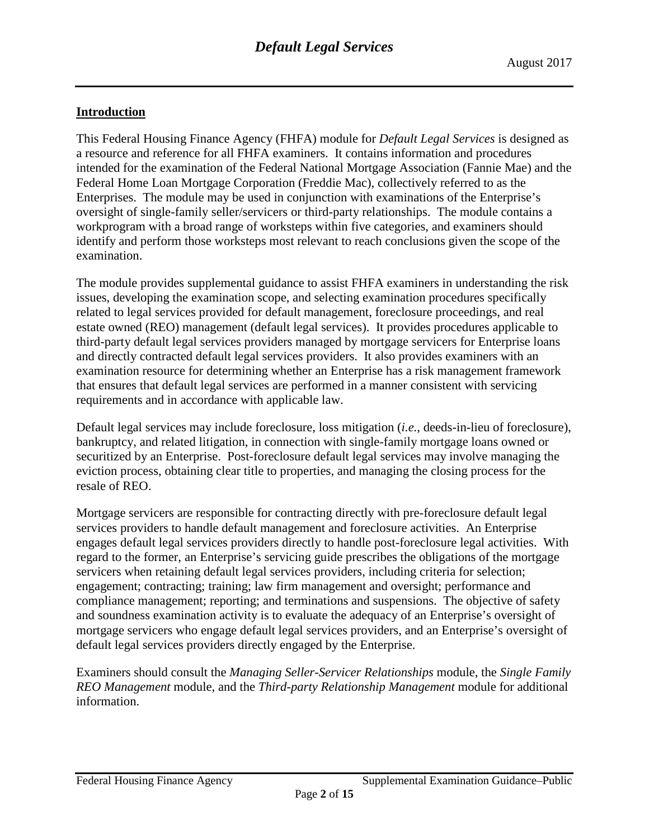# <span id="page-1-0"></span>**Introduction**

This Federal Housing Finance Agency (FHFA) module for *Default Legal Services* is designed as a resource and reference for all FHFA examiners. It contains information and procedures intended for the examination of the Federal National Mortgage Association (Fannie Mae) and the Federal Home Loan Mortgage Corporation (Freddie Mac), collectively referred to as the Enterprises. The module may be used in conjunction with examinations of the Enterprise's oversight of single-family seller/servicers or third-party relationships. The module contains a workprogram with a broad range of worksteps within five categories, and examiners should identify and perform those worksteps most relevant to reach conclusions given the scope of the examination.

The module provides supplemental guidance to assist FHFA examiners in understanding the risk issues, developing the examination scope, and selecting examination procedures specifically related to legal services provided for default management, foreclosure proceedings, and real estate owned (REO) management (default legal services). It provides procedures applicable to third-party default legal services providers managed by mortgage servicers for Enterprise loans and directly contracted default legal services providers. It also provides examiners with an examination resource for determining whether an Enterprise has a risk management framework that ensures that default legal services are performed in a manner consistent with servicing requirements and in accordance with applicable law.

Default legal services may include foreclosure, loss mitigation (*i.e.*, deeds-in-lieu of foreclosure), bankruptcy, and related litigation, in connection with single-family mortgage loans owned or securitized by an Enterprise. Post-foreclosure default legal services may involve managing the eviction process, obtaining clear title to properties, and managing the closing process for the resale of REO.

Mortgage servicers are responsible for contracting directly with pre-foreclosure default legal services providers to handle default management and foreclosure activities. An Enterprise engages default legal services providers directly to handle post-foreclosure legal activities. With regard to the former, an Enterprise's servicing guide prescribes the obligations of the mortgage servicers when retaining default legal services providers, including criteria for selection; engagement; contracting; training; law firm management and oversight; performance and compliance management; reporting; and terminations and suspensions. The objective of safety and soundness examination activity is to evaluate the adequacy of an Enterprise's oversight of mortgage servicers who engage default legal services providers, and an Enterprise's oversight of default legal services providers directly engaged by the Enterprise.

Examiners should consult the *Managing Seller-Servicer Relationships* module, the *Single Family REO Management* module, and the *Third-party Relationship Management* module for additional information.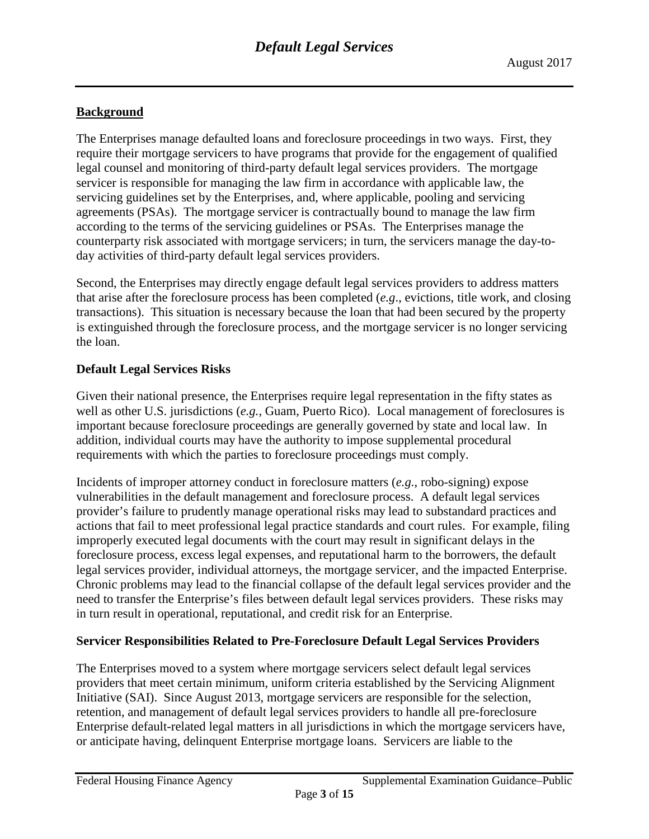# <span id="page-2-0"></span>**Background**

The Enterprises manage defaulted loans and foreclosure proceedings in two ways. First, they require their mortgage servicers to have programs that provide for the engagement of qualified legal counsel and monitoring of third-party default legal services providers. The mortgage servicer is responsible for managing the law firm in accordance with applicable law, the servicing guidelines set by the Enterprises, and, where applicable, pooling and servicing agreements (PSAs). The mortgage servicer is contractually bound to manage the law firm according to the terms of the servicing guidelines or PSAs. The Enterprises manage the counterparty risk associated with mortgage servicers; in turn, the servicers manage the day-today activities of third-party default legal services providers.

Second, the Enterprises may directly engage default legal services providers to address matters that arise after the foreclosure process has been completed (*e.g*., evictions, title work, and closing transactions). This situation is necessary because the loan that had been secured by the property is extinguished through the foreclosure process, and the mortgage servicer is no longer servicing the loan.

# <span id="page-2-1"></span>**Default Legal Services Risks**

Given their national presence, the Enterprises require legal representation in the fifty states as well as other U.S. jurisdictions (*e.g.*, Guam, Puerto Rico). Local management of foreclosures is important because foreclosure proceedings are generally governed by state and local law. In addition, individual courts may have the authority to impose supplemental procedural requirements with which the parties to foreclosure proceedings must comply.

Incidents of improper attorney conduct in foreclosure matters (*e.g.*, robo-signing) expose vulnerabilities in the default management and foreclosure process. A default legal services provider's failure to prudently manage operational risks may lead to substandard practices and actions that fail to meet professional legal practice standards and court rules. For example, filing improperly executed legal documents with the court may result in significant delays in the foreclosure process, excess legal expenses, and reputational harm to the borrowers, the default legal services provider, individual attorneys, the mortgage servicer, and the impacted Enterprise. Chronic problems may lead to the financial collapse of the default legal services provider and the need to transfer the Enterprise's files between default legal services providers. These risks may in turn result in operational, reputational, and credit risk for an Enterprise.

# <span id="page-2-2"></span>**Servicer Responsibilities Related to Pre-Foreclosure Default Legal Services Providers**

The Enterprises moved to a system where mortgage servicers select default legal services providers that meet certain minimum, uniform criteria established by the Servicing Alignment Initiative (SAI). Since August 2013, mortgage servicers are responsible for the selection, retention, and management of default legal services providers to handle all pre-foreclosure Enterprise default-related legal matters in all jurisdictions in which the mortgage servicers have, or anticipate having, delinquent Enterprise mortgage loans. Servicers are liable to the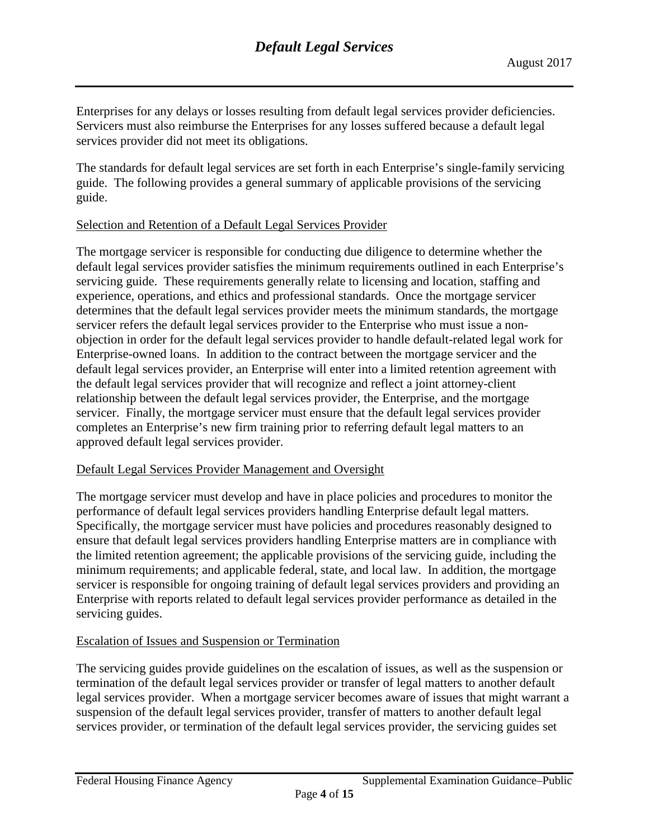Enterprises for any delays or losses resulting from default legal services provider deficiencies. Servicers must also reimburse the Enterprises for any losses suffered because a default legal services provider did not meet its obligations.

The standards for default legal services are set forth in each Enterprise's single-family servicing guide. The following provides a general summary of applicable provisions of the servicing guide.

### <span id="page-3-0"></span>Selection and Retention of a Default Legal Services Provider

The mortgage servicer is responsible for conducting due diligence to determine whether the default legal services provider satisfies the minimum requirements outlined in each Enterprise's servicing guide. These requirements generally relate to licensing and location, staffing and experience, operations, and ethics and professional standards. Once the mortgage servicer determines that the default legal services provider meets the minimum standards, the mortgage servicer refers the default legal services provider to the Enterprise who must issue a nonobjection in order for the default legal services provider to handle default-related legal work for Enterprise-owned loans. In addition to the contract between the mortgage servicer and the default legal services provider, an Enterprise will enter into a limited retention agreement with the default legal services provider that will recognize and reflect a joint attorney-client relationship between the default legal services provider, the Enterprise, and the mortgage servicer. Finally, the mortgage servicer must ensure that the default legal services provider completes an Enterprise's new firm training prior to referring default legal matters to an approved default legal services provider.

# <span id="page-3-1"></span>Default Legal Services Provider Management and Oversight

The mortgage servicer must develop and have in place policies and procedures to monitor the performance of default legal services providers handling Enterprise default legal matters. Specifically, the mortgage servicer must have policies and procedures reasonably designed to ensure that default legal services providers handling Enterprise matters are in compliance with the limited retention agreement; the applicable provisions of the servicing guide, including the minimum requirements; and applicable federal, state, and local law. In addition, the mortgage servicer is responsible for ongoing training of default legal services providers and providing an Enterprise with reports related to default legal services provider performance as detailed in the servicing guides.

# <span id="page-3-2"></span>Escalation of Issues and Suspension or Termination

The servicing guides provide guidelines on the escalation of issues, as well as the suspension or termination of the default legal services provider or transfer of legal matters to another default legal services provider. When a mortgage servicer becomes aware of issues that might warrant a suspension of the default legal services provider, transfer of matters to another default legal services provider, or termination of the default legal services provider, the servicing guides set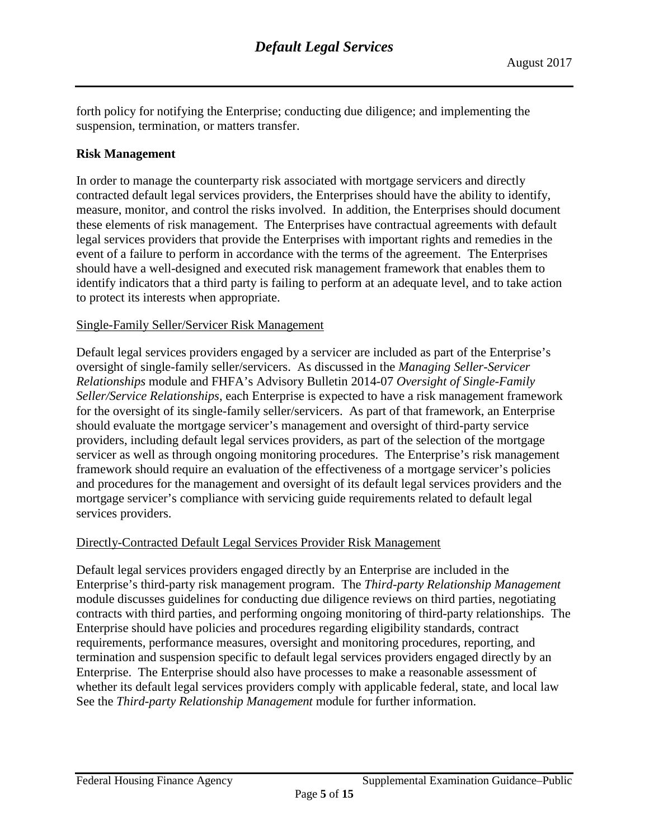forth policy for notifying the Enterprise; conducting due diligence; and implementing the suspension, termination, or matters transfer.

### <span id="page-4-0"></span>**Risk Management**

In order to manage the counterparty risk associated with mortgage servicers and directly contracted default legal services providers, the Enterprises should have the ability to identify, measure, monitor, and control the risks involved. In addition, the Enterprises should document these elements of risk management. The Enterprises have contractual agreements with default legal services providers that provide the Enterprises with important rights and remedies in the event of a failure to perform in accordance with the terms of the agreement. The Enterprises should have a well-designed and executed risk management framework that enables them to identify indicators that a third party is failing to perform at an adequate level, and to take action to protect its interests when appropriate.

### <span id="page-4-1"></span>Single-Family Seller/Servicer Risk Management

Default legal services providers engaged by a servicer are included as part of the Enterprise's oversight of single-family seller/servicers. As discussed in the *Managing Seller-Servicer Relationships* module and FHFA's Advisory Bulletin 2014-07 *Oversight of Single-Family Seller/Service Relationships*, each Enterprise is expected to have a risk management framework for the oversight of its single-family seller/servicers. As part of that framework, an Enterprise should evaluate the mortgage servicer's management and oversight of third-party service providers, including default legal services providers, as part of the selection of the mortgage servicer as well as through ongoing monitoring procedures. The Enterprise's risk management framework should require an evaluation of the effectiveness of a mortgage servicer's policies and procedures for the management and oversight of its default legal services providers and the mortgage servicer's compliance with servicing guide requirements related to default legal services providers.

#### <span id="page-4-2"></span>Directly-Contracted Default Legal Services Provider Risk Management

Default legal services providers engaged directly by an Enterprise are included in the Enterprise's third-party risk management program. The *Third-party Relationship Management* module discusses guidelines for conducting due diligence reviews on third parties, negotiating contracts with third parties, and performing ongoing monitoring of third-party relationships. The Enterprise should have policies and procedures regarding eligibility standards, contract requirements, performance measures, oversight and monitoring procedures, reporting, and termination and suspension specific to default legal services providers engaged directly by an Enterprise. The Enterprise should also have processes to make a reasonable assessment of whether its default legal services providers comply with applicable federal, state, and local law See the *Third-party Relationship Management* module for further information.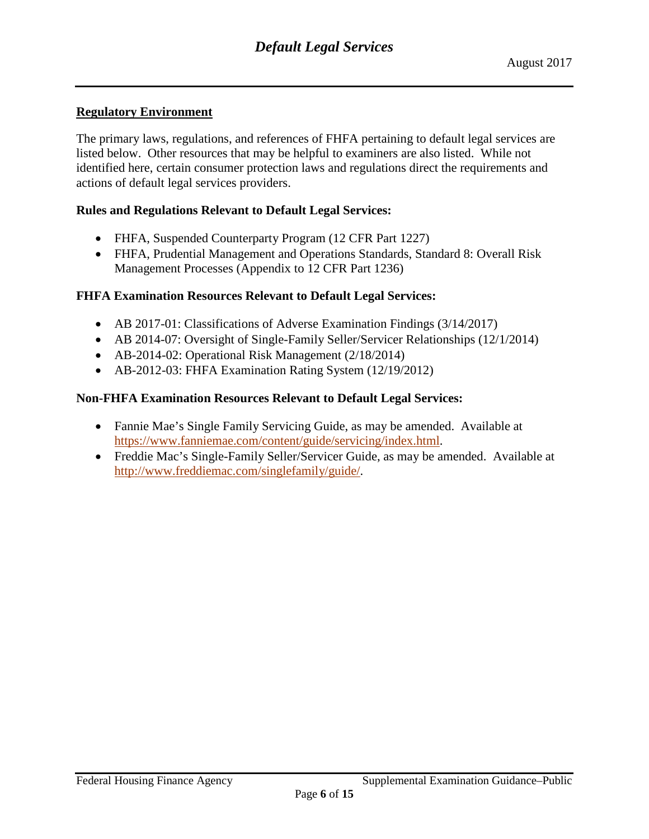# <span id="page-5-0"></span>**Regulatory Environment**

The primary laws, regulations, and references of FHFA pertaining to default legal services are listed below. Other resources that may be helpful to examiners are also listed. While not identified here, certain consumer protection laws and regulations direct the requirements and actions of default legal services providers.

### <span id="page-5-1"></span>**Rules and Regulations Relevant to Default Legal Services:**

- FHFA, Suspended Counterparty Program (12 CFR Part 1227)
- FHFA, Prudential Management and Operations Standards, Standard 8: Overall Risk Management Processes (Appendix to 12 CFR Part 1236)

### <span id="page-5-2"></span>**FHFA Examination Resources Relevant to Default Legal Services:**

- AB 2017-01: Classifications of Adverse Examination Findings (3/14/2017)
- AB 2014-07: Oversight of Single-Family Seller/Servicer Relationships (12/1/2014)
- AB-2014-02: Operational Risk Management (2/18/2014)
- AB-2012-03: FHFA Examination Rating System (12/19/2012)

### <span id="page-5-3"></span>**Non-FHFA Examination Resources Relevant to Default Legal Services:**

- Fannie Mae's Single Family Servicing Guide, as may be amended. Available at [https://www.fanniemae.com/content/guide/servicing/index.html.](https://www.fanniemae.com/content/guide/servicing/index.html)
- Freddie Mac's Single-Family Seller/Servicer Guide, as may be amended. Available at [http://www.freddiemac.com/singlefamily/guide/.](http://www.freddiemac.com/singlefamily/guide/)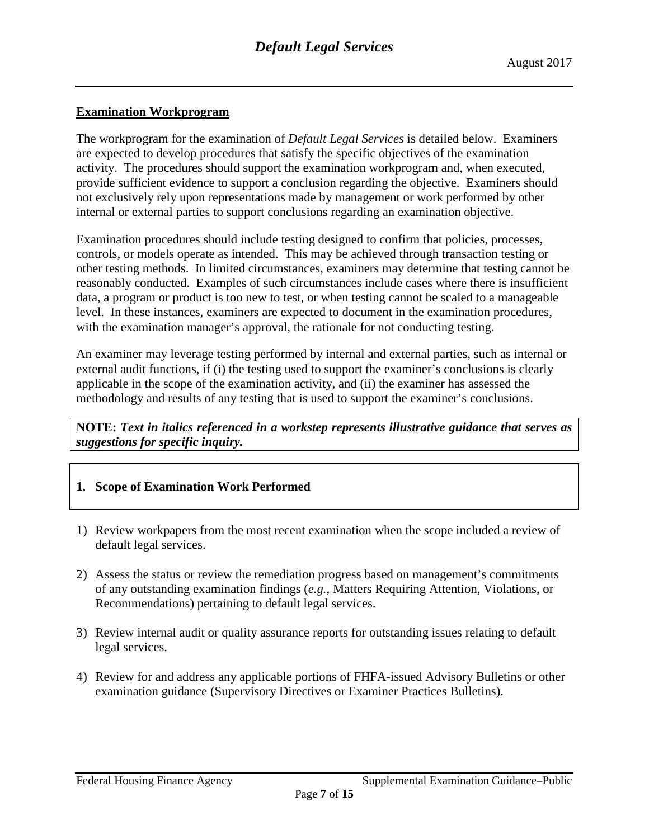### <span id="page-6-0"></span>**Examination Workprogram**

The workprogram for the examination of *Default Legal Services* is detailed below. Examiners are expected to develop procedures that satisfy the specific objectives of the examination activity. The procedures should support the examination workprogram and, when executed, provide sufficient evidence to support a conclusion regarding the objective. Examiners should not exclusively rely upon representations made by management or work performed by other internal or external parties to support conclusions regarding an examination objective.

Examination procedures should include testing designed to confirm that policies, processes, controls, or models operate as intended. This may be achieved through transaction testing or other testing methods. In limited circumstances, examiners may determine that testing cannot be reasonably conducted. Examples of such circumstances include cases where there is insufficient data, a program or product is too new to test, or when testing cannot be scaled to a manageable level. In these instances, examiners are expected to document in the examination procedures, with the examination manager's approval, the rationale for not conducting testing.

An examiner may leverage testing performed by internal and external parties, such as internal or external audit functions, if (i) the testing used to support the examiner's conclusions is clearly applicable in the scope of the examination activity, and (ii) the examiner has assessed the methodology and results of any testing that is used to support the examiner's conclusions.

**NOTE:** *Text in italics referenced in a workstep represents illustrative guidance that serves as suggestions for specific inquiry.*

- **1. Scope of Examination Work Performed**
- 1) Review workpapers from the most recent examination when the scope included a review of default legal services.
- 2) Assess the status or review the remediation progress based on management's commitments of any outstanding examination findings (*e.g.*, Matters Requiring Attention, Violations, or Recommendations) pertaining to default legal services.
- 3) Review internal audit or quality assurance reports for outstanding issues relating to default legal services.
- 4) Review for and address any applicable portions of FHFA-issued Advisory Bulletins or other examination guidance (Supervisory Directives or Examiner Practices Bulletins).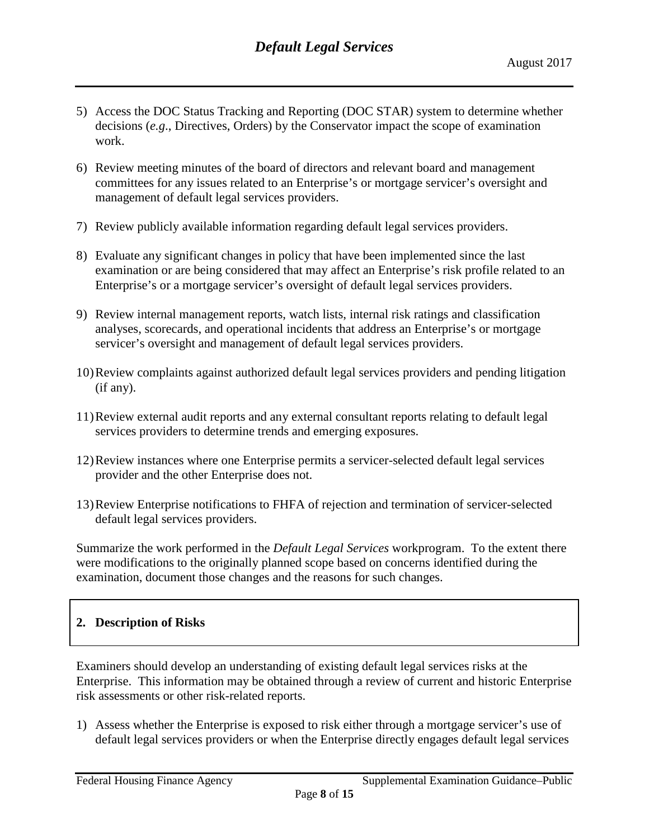- 5) Access the DOC Status Tracking and Reporting (DOC STAR) system to determine whether decisions (*e.g*., Directives, Orders) by the Conservator impact the scope of examination work.
- 6) Review meeting minutes of the board of directors and relevant board and management committees for any issues related to an Enterprise's or mortgage servicer's oversight and management of default legal services providers.
- 7) Review publicly available information regarding default legal services providers.
- 8) Evaluate any significant changes in policy that have been implemented since the last examination or are being considered that may affect an Enterprise's risk profile related to an Enterprise's or a mortgage servicer's oversight of default legal services providers.
- 9) Review internal management reports, watch lists, internal risk ratings and classification analyses, scorecards, and operational incidents that address an Enterprise's or mortgage servicer's oversight and management of default legal services providers.
- 10)Review complaints against authorized default legal services providers and pending litigation (if any).
- 11)Review external audit reports and any external consultant reports relating to default legal services providers to determine trends and emerging exposures.
- 12)Review instances where one Enterprise permits a servicer-selected default legal services provider and the other Enterprise does not.
- 13)Review Enterprise notifications to FHFA of rejection and termination of servicer-selected default legal services providers.

Summarize the work performed in the *Default Legal Services* workprogram. To the extent there were modifications to the originally planned scope based on concerns identified during the examination, document those changes and the reasons for such changes.

# **2. Description of Risks**

Examiners should develop an understanding of existing default legal services risks at the Enterprise. This information may be obtained through a review of current and historic Enterprise risk assessments or other risk-related reports.

1) Assess whether the Enterprise is exposed to risk either through a mortgage servicer's use of default legal services providers or when the Enterprise directly engages default legal services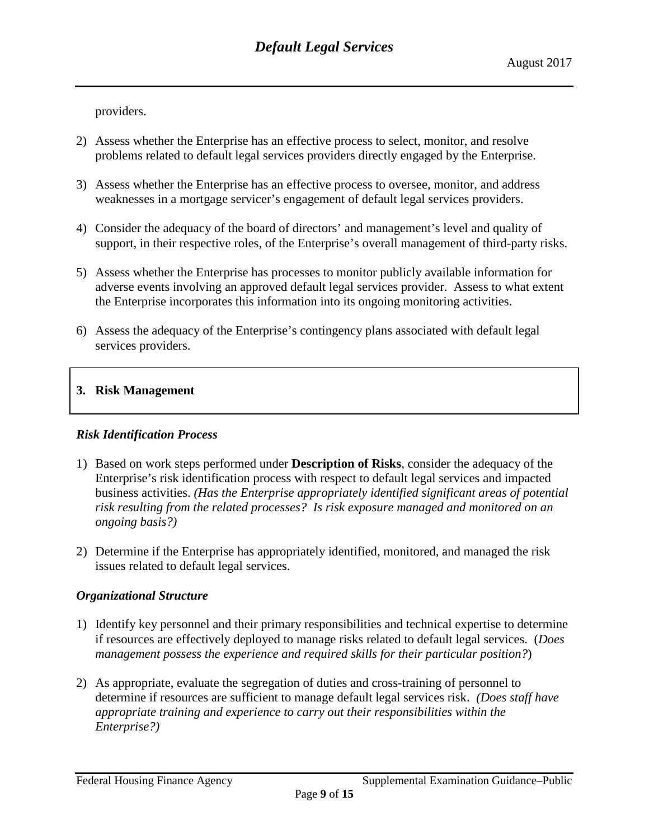providers.

- 2) Assess whether the Enterprise has an effective process to select, monitor, and resolve problems related to default legal services providers directly engaged by the Enterprise.
- 3) Assess whether the Enterprise has an effective process to oversee, monitor, and address weaknesses in a mortgage servicer's engagement of default legal services providers.
- 4) Consider the adequacy of the board of directors' and management's level and quality of support, in their respective roles, of the Enterprise's overall management of third-party risks.
- 5) Assess whether the Enterprise has processes to monitor publicly available information for adverse events involving an approved default legal services provider. Assess to what extent the Enterprise incorporates this information into its ongoing monitoring activities.
- 6) Assess the adequacy of the Enterprise's contingency plans associated with default legal services providers.

# **3. Risk Management**

# *Risk Identification Process*

- 1) Based on work steps performed under **Description of Risks**, consider the adequacy of the Enterprise's risk identification process with respect to default legal services and impacted business activities. *(Has the Enterprise appropriately identified significant areas of potential risk resulting from the related processes? Is risk exposure managed and monitored on an ongoing basis?)*
- 2) Determine if the Enterprise has appropriately identified, monitored, and managed the risk issues related to default legal services.

# *Organizational Structure*

- 1) Identify key personnel and their primary responsibilities and technical expertise to determine if resources are effectively deployed to manage risks related to default legal services. (*Does management possess the experience and required skills for their particular position?*)
- 2) As appropriate, evaluate the segregation of duties and cross-training of personnel to determine if resources are sufficient to manage default legal services risk. *(Does staff have appropriate training and experience to carry out their responsibilities within the Enterprise?)*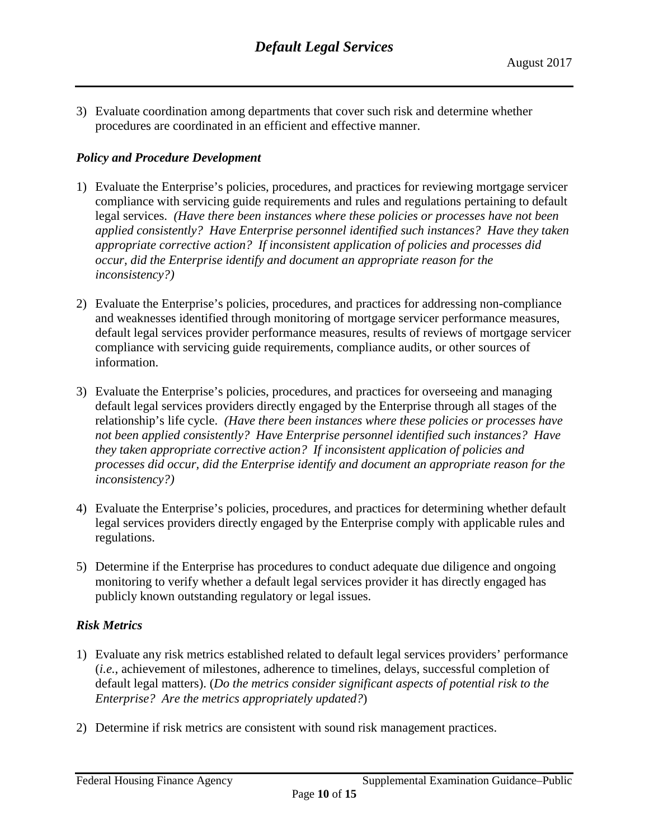3) Evaluate coordination among departments that cover such risk and determine whether procedures are coordinated in an efficient and effective manner.

# *Policy and Procedure Development*

- 1) Evaluate the Enterprise's policies, procedures, and practices for reviewing mortgage servicer compliance with servicing guide requirements and rules and regulations pertaining to default legal services. *(Have there been instances where these policies or processes have not been applied consistently? Have Enterprise personnel identified such instances? Have they taken appropriate corrective action? If inconsistent application of policies and processes did occur, did the Enterprise identify and document an appropriate reason for the inconsistency?)*
- 2) Evaluate the Enterprise's policies, procedures, and practices for addressing non-compliance and weaknesses identified through monitoring of mortgage servicer performance measures, default legal services provider performance measures, results of reviews of mortgage servicer compliance with servicing guide requirements, compliance audits, or other sources of information.
- 3) Evaluate the Enterprise's policies, procedures, and practices for overseeing and managing default legal services providers directly engaged by the Enterprise through all stages of the relationship's life cycle. *(Have there been instances where these policies or processes have not been applied consistently? Have Enterprise personnel identified such instances? Have they taken appropriate corrective action? If inconsistent application of policies and processes did occur, did the Enterprise identify and document an appropriate reason for the inconsistency?)*
- 4) Evaluate the Enterprise's policies, procedures, and practices for determining whether default legal services providers directly engaged by the Enterprise comply with applicable rules and regulations.
- 5) Determine if the Enterprise has procedures to conduct adequate due diligence and ongoing monitoring to verify whether a default legal services provider it has directly engaged has publicly known outstanding regulatory or legal issues.

# *Risk Metrics*

- 1) Evaluate any risk metrics established related to default legal services providers' performance (*i.e.*, achievement of milestones, adherence to timelines, delays, successful completion of default legal matters). (*Do the metrics consider significant aspects of potential risk to the Enterprise? Are the metrics appropriately updated?*)
- 2) Determine if risk metrics are consistent with sound risk management practices.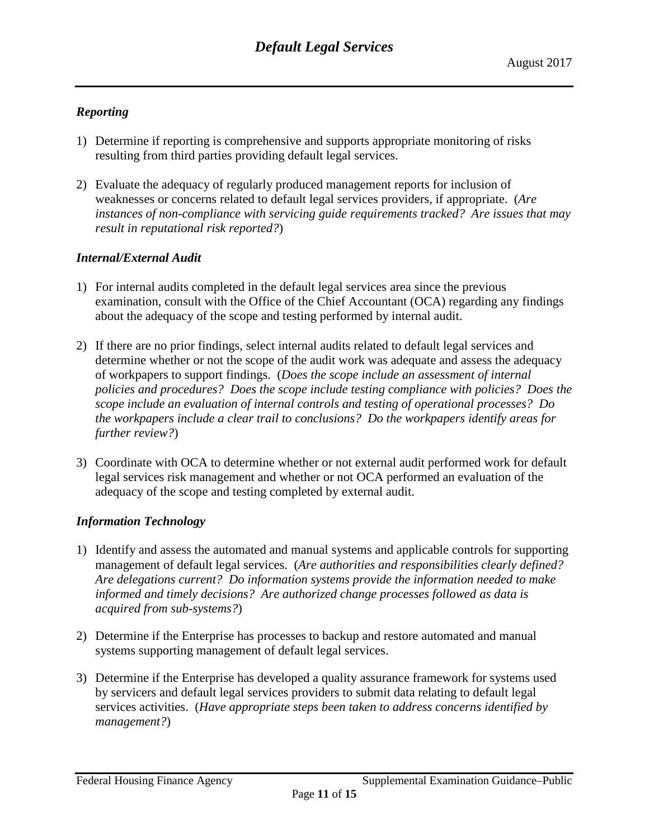# *Reporting*

- 1) Determine if reporting is comprehensive and supports appropriate monitoring of risks resulting from third parties providing default legal services.
- 2) Evaluate the adequacy of regularly produced management reports for inclusion of weaknesses or concerns related to default legal services providers, if appropriate. (*Are instances of non-compliance with servicing guide requirements tracked? Are issues that may result in reputational risk reported?*)

# *Internal/External Audit*

- 1) For internal audits completed in the default legal services area since the previous examination, consult with the Office of the Chief Accountant (OCA) regarding any findings about the adequacy of the scope and testing performed by internal audit.
- 2) If there are no prior findings, select internal audits related to default legal services and determine whether or not the scope of the audit work was adequate and assess the adequacy of workpapers to support findings. (*Does the scope include an assessment of internal policies and procedures? Does the scope include testing compliance with policies? Does the scope include an evaluation of internal controls and testing of operational processes? Do the workpapers include a clear trail to conclusions? Do the workpapers identify areas for further review?*)
- 3) Coordinate with OCA to determine whether or not external audit performed work for default legal services risk management and whether or not OCA performed an evaluation of the adequacy of the scope and testing completed by external audit.

# *Information Technology*

- 1) Identify and assess the automated and manual systems and applicable controls for supporting management of default legal services. (*Are authorities and responsibilities clearly defined? Are delegations current? Do information systems provide the information needed to make informed and timely decisions? Are authorized change processes followed as data is acquired from sub-systems?*)
- 2) Determine if the Enterprise has processes to backup and restore automated and manual systems supporting management of default legal services.
- 3) Determine if the Enterprise has developed a quality assurance framework for systems used by servicers and default legal services providers to submit data relating to default legal services activities. (*Have appropriate steps been taken to address concerns identified by management?*)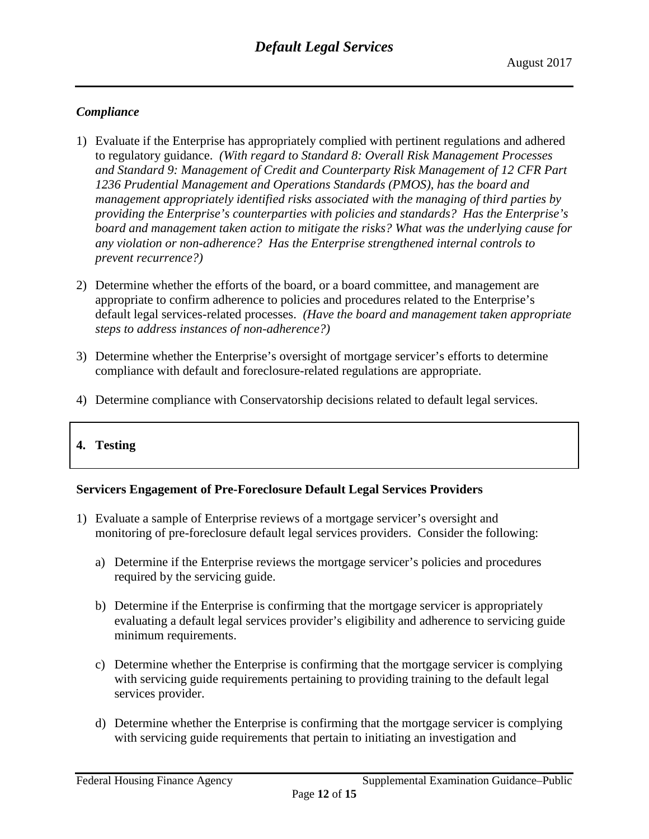# *Compliance*

- 1) Evaluate if the Enterprise has appropriately complied with pertinent regulations and adhered to regulatory guidance. *(With regard to Standard 8: Overall Risk Management Processes and Standard 9: Management of Credit and Counterparty Risk Management of 12 CFR Part 1236 Prudential Management and Operations Standards (PMOS), has the board and management appropriately identified risks associated with the managing of third parties by providing the Enterprise's counterparties with policies and standards? Has the Enterprise's board and management taken action to mitigate the risks? What was the underlying cause for any violation or non-adherence? Has the Enterprise strengthened internal controls to prevent recurrence?)*
- 2) Determine whether the efforts of the board, or a board committee, and management are appropriate to confirm adherence to policies and procedures related to the Enterprise's default legal services-related processes. *(Have the board and management taken appropriate steps to address instances of non-adherence?)*
- 3) Determine whether the Enterprise's oversight of mortgage servicer's efforts to determine compliance with default and foreclosure-related regulations are appropriate.
- 4) Determine compliance with Conservatorship decisions related to default legal services.

# **4. Testing**

# **Servicers Engagement of Pre-Foreclosure Default Legal Services Providers**

- 1) Evaluate a sample of Enterprise reviews of a mortgage servicer's oversight and monitoring of pre-foreclosure default legal services providers. Consider the following:
	- a) Determine if the Enterprise reviews the mortgage servicer's policies and procedures required by the servicing guide.
	- b) Determine if the Enterprise is confirming that the mortgage servicer is appropriately evaluating a default legal services provider's eligibility and adherence to servicing guide minimum requirements.
	- c) Determine whether the Enterprise is confirming that the mortgage servicer is complying with servicing guide requirements pertaining to providing training to the default legal services provider.
	- d) Determine whether the Enterprise is confirming that the mortgage servicer is complying with servicing guide requirements that pertain to initiating an investigation and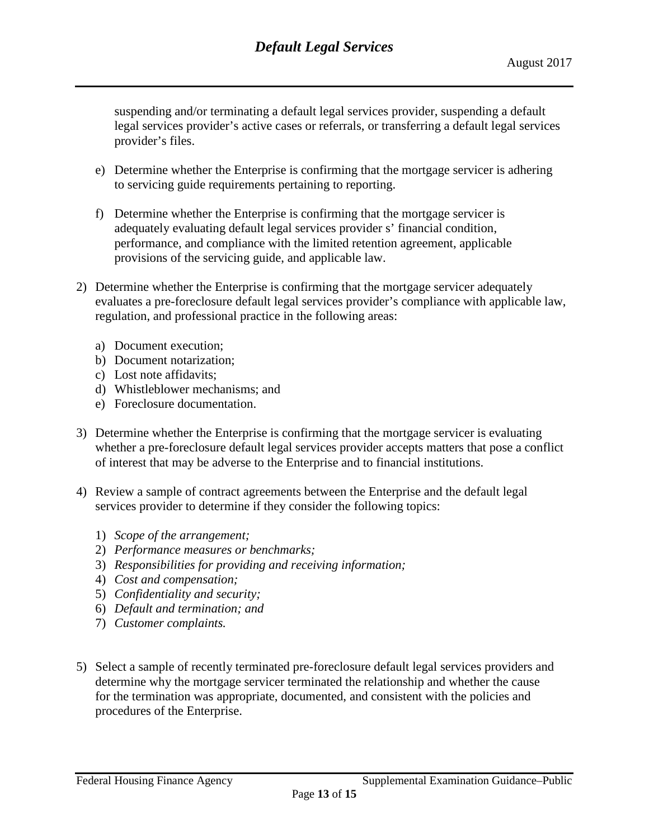suspending and/or terminating a default legal services provider, suspending a default legal services provider's active cases or referrals, or transferring a default legal services provider's files.

- e) Determine whether the Enterprise is confirming that the mortgage servicer is adhering to servicing guide requirements pertaining to reporting.
- f) Determine whether the Enterprise is confirming that the mortgage servicer is adequately evaluating default legal services provider s' financial condition, performance, and compliance with the limited retention agreement, applicable provisions of the servicing guide, and applicable law.
- 2) Determine whether the Enterprise is confirming that the mortgage servicer adequately evaluates a pre-foreclosure default legal services provider's compliance with applicable law, regulation, and professional practice in the following areas:
	- a) Document execution;
	- b) Document notarization;
	- c) Lost note affidavits;
	- d) Whistleblower mechanisms; and
	- e) Foreclosure documentation.
- 3) Determine whether the Enterprise is confirming that the mortgage servicer is evaluating whether a pre-foreclosure default legal services provider accepts matters that pose a conflict of interest that may be adverse to the Enterprise and to financial institutions.
- 4) Review a sample of contract agreements between the Enterprise and the default legal services provider to determine if they consider the following topics:
	- 1) *Scope of the arrangement;*
	- 2) *Performance measures or benchmarks;*
	- 3) *Responsibilities for providing and receiving information;*
	- 4) *Cost and compensation;*
	- 5) *Confidentiality and security;*
	- 6) *Default and termination; and*
	- 7) *Customer complaints.*
- 5) Select a sample of recently terminated pre-foreclosure default legal services providers and determine why the mortgage servicer terminated the relationship and whether the cause for the termination was appropriate, documented, and consistent with the policies and procedures of the Enterprise.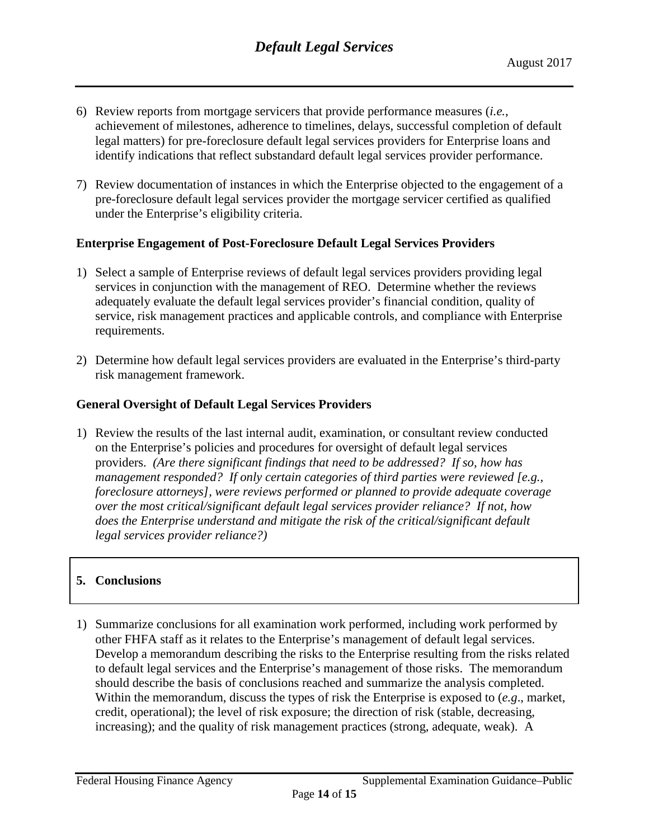- 6) Review reports from mortgage servicers that provide performance measures (*i.e.*, achievement of milestones, adherence to timelines, delays, successful completion of default legal matters) for pre-foreclosure default legal services providers for Enterprise loans and identify indications that reflect substandard default legal services provider performance.
- 7) Review documentation of instances in which the Enterprise objected to the engagement of a pre-foreclosure default legal services provider the mortgage servicer certified as qualified under the Enterprise's eligibility criteria.

### **Enterprise Engagement of Post-Foreclosure Default Legal Services Providers**

- 1) Select a sample of Enterprise reviews of default legal services providers providing legal services in conjunction with the management of REO. Determine whether the reviews adequately evaluate the default legal services provider's financial condition, quality of service, risk management practices and applicable controls, and compliance with Enterprise requirements.
- 2) Determine how default legal services providers are evaluated in the Enterprise's third-party risk management framework.

# **General Oversight of Default Legal Services Providers**

1) Review the results of the last internal audit, examination, or consultant review conducted on the Enterprise's policies and procedures for oversight of default legal services providers. *(Are there significant findings that need to be addressed? If so, how has management responded? If only certain categories of third parties were reviewed [e.g., foreclosure attorneys], were reviews performed or planned to provide adequate coverage over the most critical/significant default legal services provider reliance? If not, how does the Enterprise understand and mitigate the risk of the critical/significant default legal services provider reliance?)*

# **5. Conclusions**

1) Summarize conclusions for all examination work performed, including work performed by other FHFA staff as it relates to the Enterprise's management of default legal services. Develop a memorandum describing the risks to the Enterprise resulting from the risks related to default legal services and the Enterprise's management of those risks. The memorandum should describe the basis of conclusions reached and summarize the analysis completed. Within the memorandum, discuss the types of risk the Enterprise is exposed to (*e.g*., market, credit, operational); the level of risk exposure; the direction of risk (stable, decreasing, increasing); and the quality of risk management practices (strong, adequate, weak). A